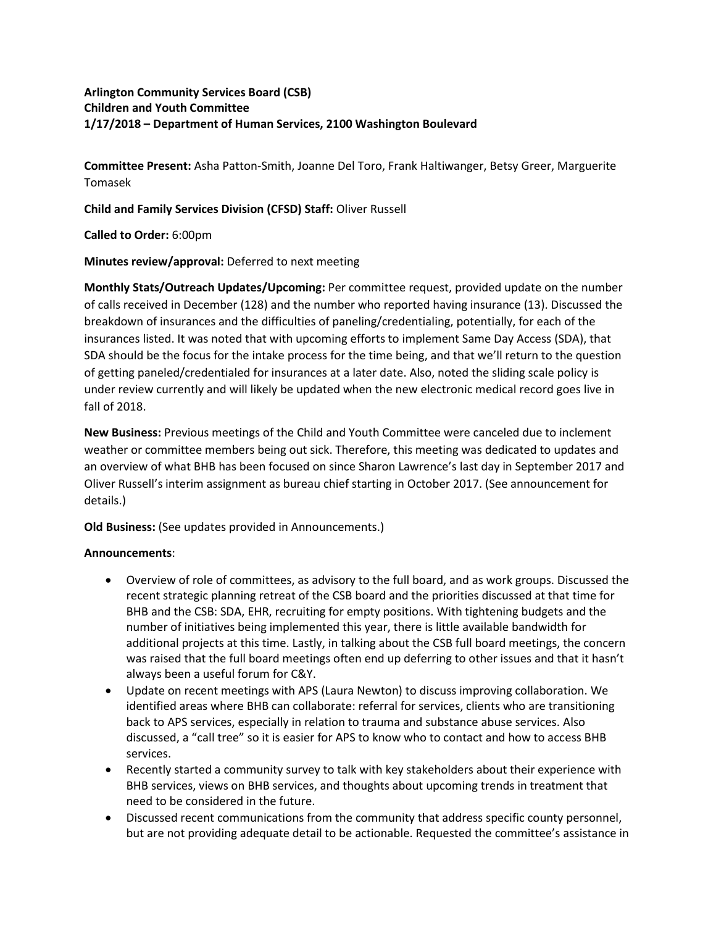## **Arlington Community Services Board (CSB) Children and Youth Committee 1/17/2018 – Department of Human Services, 2100 Washington Boulevard**

**Committee Present:** Asha Patton-Smith, Joanne Del Toro, Frank Haltiwanger, Betsy Greer, Marguerite Tomasek

**Child and Family Services Division (CFSD) Staff:** Oliver Russell

**Called to Order:** 6:00pm

**Minutes review/approval:** Deferred to next meeting

**Monthly Stats/Outreach Updates/Upcoming:** Per committee request, provided update on the number of calls received in December (128) and the number who reported having insurance (13). Discussed the breakdown of insurances and the difficulties of paneling/credentialing, potentially, for each of the insurances listed. It was noted that with upcoming efforts to implement Same Day Access (SDA), that SDA should be the focus for the intake process for the time being, and that we'll return to the question of getting paneled/credentialed for insurances at a later date. Also, noted the sliding scale policy is under review currently and will likely be updated when the new electronic medical record goes live in fall of 2018.

**New Business:** Previous meetings of the Child and Youth Committee were canceled due to inclement weather or committee members being out sick. Therefore, this meeting was dedicated to updates and an overview of what BHB has been focused on since Sharon Lawrence's last day in September 2017 and Oliver Russell's interim assignment as bureau chief starting in October 2017. (See announcement for details.)

**Old Business:** (See updates provided in Announcements.)

## **Announcements**:

- Overview of role of committees, as advisory to the full board, and as work groups. Discussed the recent strategic planning retreat of the CSB board and the priorities discussed at that time for BHB and the CSB: SDA, EHR, recruiting for empty positions. With tightening budgets and the number of initiatives being implemented this year, there is little available bandwidth for additional projects at this time. Lastly, in talking about the CSB full board meetings, the concern was raised that the full board meetings often end up deferring to other issues and that it hasn't always been a useful forum for C&Y.
- Update on recent meetings with APS (Laura Newton) to discuss improving collaboration. We identified areas where BHB can collaborate: referral for services, clients who are transitioning back to APS services, especially in relation to trauma and substance abuse services. Also discussed, a "call tree" so it is easier for APS to know who to contact and how to access BHB services.
- Recently started a community survey to talk with key stakeholders about their experience with BHB services, views on BHB services, and thoughts about upcoming trends in treatment that need to be considered in the future.
- Discussed recent communications from the community that address specific county personnel, but are not providing adequate detail to be actionable. Requested the committee's assistance in